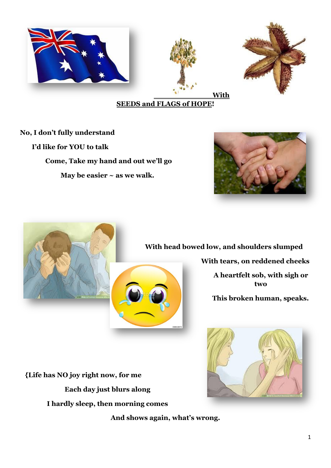

## **SEEDS and FLAGS of HOPE!**

**No, I don't fully understand I'd like for YOU to talk Come, Take my hand and out we'll go May be easier ~ as we walk.**





## **With head bowed low, and shoulders slumped**

**With tears, on reddened cheeks A heartfelt sob, with sigh or** 

**two**

**This broken human, speaks.**



 **{Life has NO joy right now, for me Each day just blurs along I hardly sleep, then morning comes**

**And shows again, what's wrong.**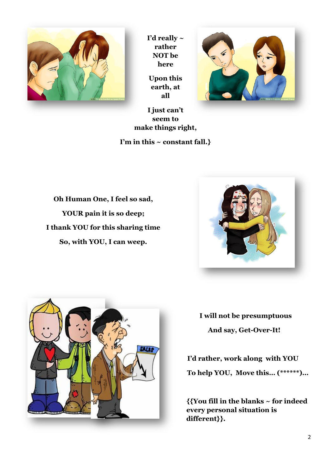

**I'd really ~ rather NOT be here**

**Upon this earth, at all**



**I just can't seem to make things right,**

**I'm in this ~ constant fall.}**

**Oh Human One, I feel so sad, YOUR pain it is so deep; I thank YOU for this sharing time So, with YOU, I can weep.**





**I will not be presumptuous And say, Get-Over-It!**

**I'd rather, work along with YOU To help YOU, Move this… (\*\*\*\*\*\*)…**

**{{You fill in the blanks ~ for indeed every personal situation is different}}.**